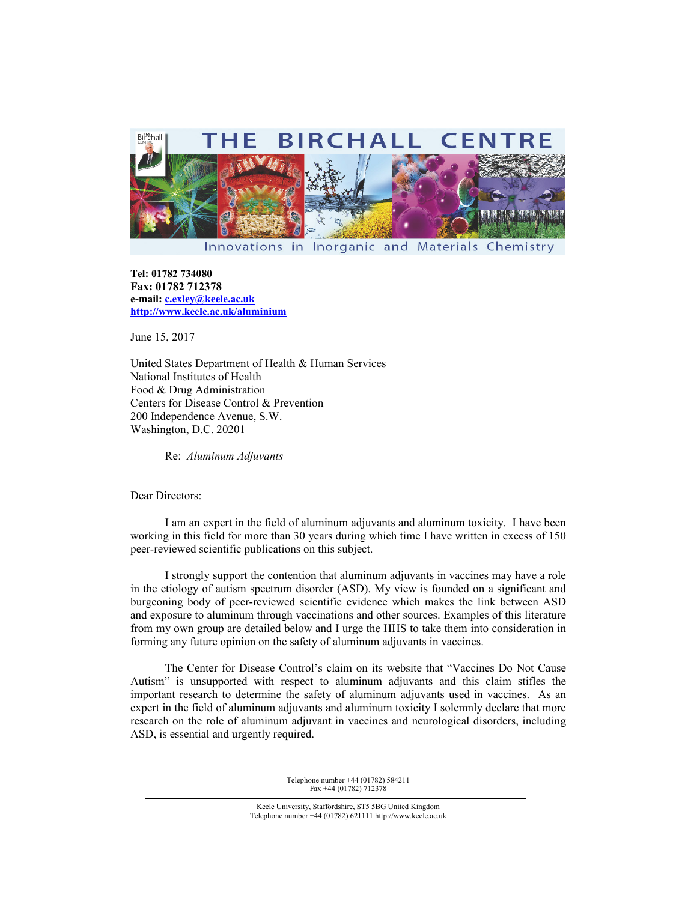

Innovations in Inorganic and Materials Chemistry

**Tel: 01782 734080 Fax: 01782 712378 e-mail: c.exley@keele.ac.uk http://www.keele.ac.uk/aluminium**

June 15, 2017

United States Department of Health & Human Services National Institutes of Health Food & Drug Administration Centers for Disease Control & Prevention 200 Independence Avenue, S.W. Washington, D.C. 20201

Re: *Aluminum Adjuvants* 

Dear Directors:

I am an expert in the field of aluminum adjuvants and aluminum toxicity. I have been working in this field for more than 30 years during which time I have written in excess of 150 peer-reviewed scientific publications on this subject.

I strongly support the contention that aluminum adjuvants in vaccines may have a role in the etiology of autism spectrum disorder (ASD). My view is founded on a significant and burgeoning body of peer-reviewed scientific evidence which makes the link between ASD and exposure to aluminum through vaccinations and other sources. Examples of this literature from my own group are detailed below and I urge the HHS to take them into consideration in forming any future opinion on the safety of aluminum adjuvants in vaccines.

The Center for Disease Control's claim on its website that "Vaccines Do Not Cause Autism" is unsupported with respect to aluminum adjuvants and this claim stifles the important research to determine the safety of aluminum adjuvants used in vaccines. As an expert in the field of aluminum adjuvants and aluminum toxicity I solemnly declare that more research on the role of aluminum adjuvant in vaccines and neurological disorders, including ASD, is essential and urgently required.

> Telephone number +44 (01782) 584211 Fax +44 (01782) 712378

Keele University, Staffordshire, ST5 5BG United Kingdom Telephone number +44 (01782) 621111 http://www.keele.ac.uk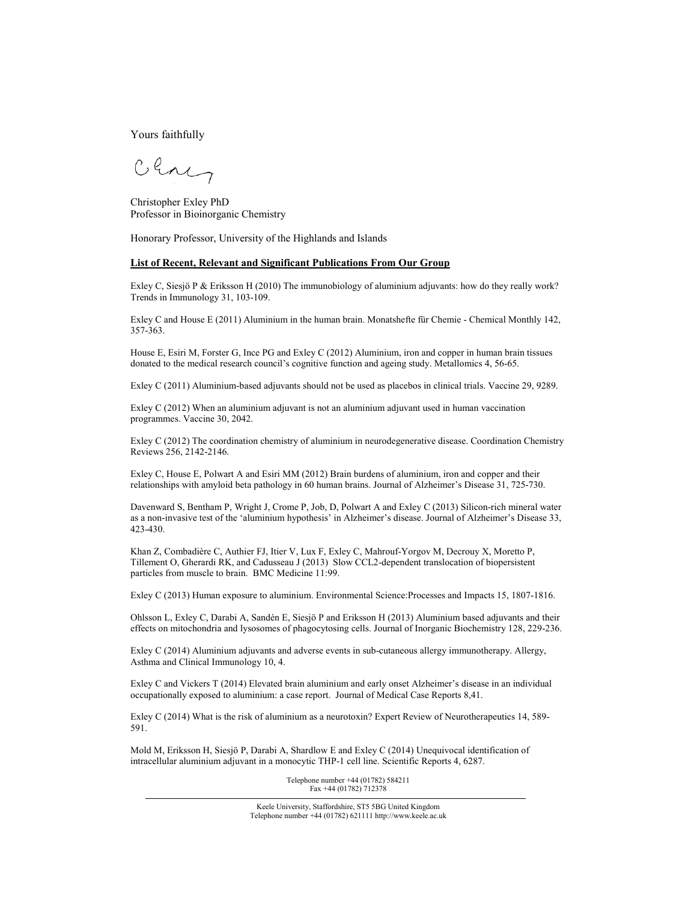Yours faithfully

Clay

Christopher Exley PhD Professor in Bioinorganic Chemistry

Honorary Professor, University of the Highlands and Islands

## **List of Recent, Relevant and Significant Publications From Our Group**

Exley C, Siesjö P & Eriksson H (2010) The immunobiology of aluminium adjuvants: how do they really work? Trends in Immunology 31, 103-109.

Exley C and House E (2011) Aluminium in the human brain. Monatshefte für Chemie - Chemical Monthly 142, 357-363.

House E, Esiri M, Forster G, Ince PG and Exley C (2012) Aluminium, iron and copper in human brain tissues donated to the medical research council's cognitive function and ageing study. Metallomics 4, 56-65.

Exley C (2011) Aluminium-based adjuvants should not be used as placebos in clinical trials. Vaccine 29, 9289.

Exley C (2012) When an aluminium adjuvant is not an aluminium adjuvant used in human vaccination programmes. Vaccine 30, 2042.

Exley C (2012) The coordination chemistry of aluminium in neurodegenerative disease. Coordination Chemistry Reviews 256, 2142-2146.

Exley C, House E, Polwart A and Esiri MM (2012) Brain burdens of aluminium, iron and copper and their relationships with amyloid beta pathology in 60 human brains. Journal of Alzheimer's Disease 31, 725-730.

Davenward S, Bentham P, Wright J, Crome P, Job, D, Polwart A and Exley C (2013) Silicon-rich mineral water as a non-invasive test of the 'aluminium hypothesis' in Alzheimer's disease. Journal of Alzheimer's Disease 33, 423-430.

Khan Z, Combadière C, Authier FJ, Itier V, Lux F, Exley C, Mahrouf-Yorgov M, Decrouy X, Moretto P, Tillement O, Gherardi RK, and Cadusseau J (2013) Slow CCL2-dependent translocation of biopersistent particles from muscle to brain. BMC Medicine 11:99.

Exley C (2013) Human exposure to aluminium. Environmental Science:Processes and Impacts 15, 1807-1816.

Ohlsson L, Exley C, Darabi A, Sandén E, Siesjö P and Eriksson H (2013) Aluminium based adjuvants and their effects on mitochondria and lysosomes of phagocytosing cells. Journal of Inorganic Biochemistry 128, 229-236.

Exley C (2014) Aluminium adjuvants and adverse events in sub-cutaneous allergy immunotherapy. Allergy, Asthma and Clinical Immunology 10, 4.

Exley C and Vickers T (2014) Elevated brain aluminium and early onset Alzheimer's disease in an individual occupationally exposed to aluminium: a case report. Journal of Medical Case Reports 8,41.

Exley C (2014) What is the risk of aluminium as a neurotoxin? Expert Review of Neurotherapeutics 14, 589- 591.

Mold M, Eriksson H, Siesjö P, Darabi A, Shardlow E and Exley C (2014) Unequivocal identification of intracellular aluminium adjuvant in a monocytic THP-1 cell line. Scientific Reports 4, 6287.

> Telephone number +44 (01782) 584211 Fax +44 (01782) 712378

Keele University, Staffordshire, ST5 5BG United Kingdom Telephone number +44 (01782) 621111 http://www.keele.ac.uk